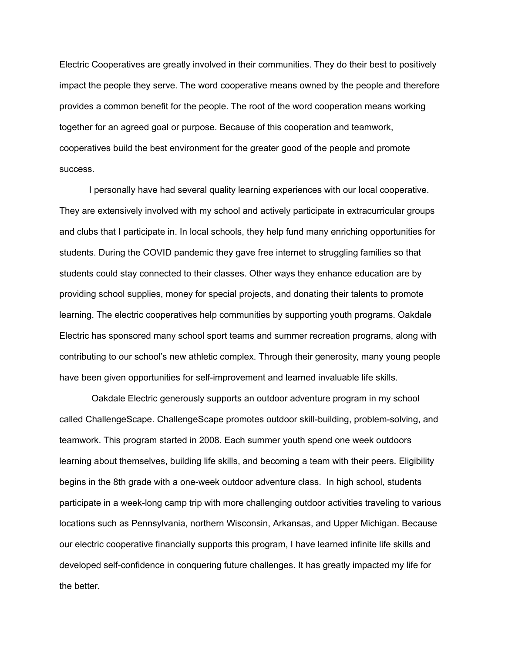Electric Cooperatives are greatly involved in their communities. They do their best to positively impact the people they serve. The word cooperative means owned by the people and therefore provides a common benefit for the people. The root of the word cooperation means working together for an agreed goal or purpose. Because of this cooperation and teamwork, cooperatives build the best environment for the greater good of the people and promote success.

I personally have had several quality learning experiences with our local cooperative. They are extensively involved with my school and actively participate in extracurricular groups and clubs that I participate in. In local schools, they help fund many enriching opportunities for students. During the COVID pandemic they gave free internet to struggling families so that students could stay connected to their classes. Other ways they enhance education are by providing school supplies, money for special projects, and donating their talents to promote learning. The electric cooperatives help communities by supporting youth programs. Oakdale Electric has sponsored many school sport teams and summer recreation programs, along with contributing to our school's new athletic complex. Through their generosity, many young people have been given opportunities for self-improvement and learned invaluable life skills.

Oakdale Electric generously supports an outdoor adventure program in my school called ChallengeScape. ChallengeScape promotes outdoor skill-building, problem-solving, and teamwork. This program started in 2008. Each summer youth spend one week outdoors learning about themselves, building life skills, and becoming a team with their peers. Eligibility begins in the 8th grade with a one-week outdoor adventure class. In high school, students participate in a week-long camp trip with more challenging outdoor activities traveling to various locations such as Pennsylvania, northern Wisconsin, Arkansas, and Upper Michigan. Because our electric cooperative financially supports this program, I have learned infinite life skills and developed self-confidence in conquering future challenges. It has greatly impacted my life for the better.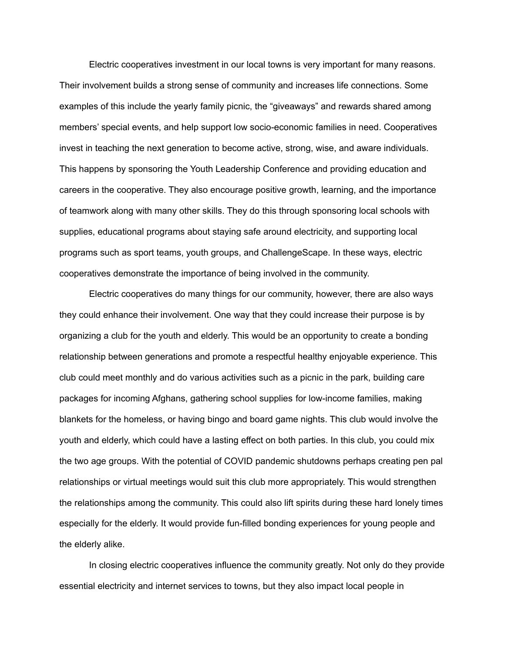Electric cooperatives investment in our local towns is very important for many reasons. Their involvement builds a strong sense of community and increases life connections. Some examples of this include the yearly family picnic, the "giveaways" and rewards shared among members' special events, and help support low socio-economic families in need. Cooperatives invest in teaching the next generation to become active, strong, wise, and aware individuals. This happens by sponsoring the Youth Leadership Conference and providing education and careers in the cooperative. They also encourage positive growth, learning, and the importance of teamwork along with many other skills. They do this through sponsoring local schools with supplies, educational programs about staying safe around electricity, and supporting local programs such as sport teams, youth groups, and ChallengeScape. In these ways, electric cooperatives demonstrate the importance of being involved in the community.

Electric cooperatives do many things for our community, however, there are also ways they could enhance their involvement. One way that they could increase their purpose is by organizing a club for the youth and elderly. This would be an opportunity to create a bonding relationship between generations and promote a respectful healthy enjoyable experience. This club could meet monthly and do various activities such as a picnic in the park, building care packages for incoming Afghans, gathering school supplies for low-income families, making blankets for the homeless, or having bingo and board game nights. This club would involve the youth and elderly, which could have a lasting effect on both parties. In this club, you could mix the two age groups. With the potential of COVID pandemic shutdowns perhaps creating pen pal relationships or virtual meetings would suit this club more appropriately. This would strengthen the relationships among the community. This could also lift spirits during these hard lonely times especially for the elderly. It would provide fun-filled bonding experiences for young people and the elderly alike.

In closing electric cooperatives influence the community greatly. Not only do they provide essential electricity and internet services to towns, but they also impact local people in